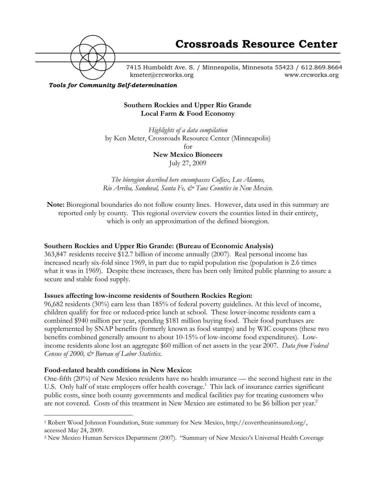

7415 Humboldt Ave. S. / Minneapolis, Minnesota 55423 / 612.869.8664 kmeter@crcworks.org www.crcworks.org

#### *Tools for Community Self-determination*

### **Southern Rockies and Upper Rio Grande Local Farm & Food Economy**

*Highlights of a data compilation* by Ken Meter, Crossroads Resource Center (Minneapolis) for

**New Mexico Bioneers** July 27, 2009

*The bioregion described here encompasses Colfax, Los Alamos, Rio Arriba, Sandoval, Santa Fe, & Taos Counties in New Mexico.*

**Note:** Bioregional boundaries do not follow county lines. However, data used in this summary are reported only by county. This regional overview covers the counties listed in their entirety, which is only an approximation of the defined bioregion.

### **Southern Rockies and Upper Rio Grande: (Bureau of Economic Analysis)**

363,847 residents receive \$12.7 billion of income annually (2007). Real personal income has increased nearly six-fold since 1969, in part due to rapid population rise (population is 2.6 times what it was in 1969). Despite these increases, there has been only limited public planning to assure a secure and stable food supply.

### **Issues affecting low-income residents of Southern Rockies Region:**

96,682 residents (30%) earn less than 185% of federal poverty guidelines. At this level of income, children qualify for free or reduced-price lunch at school. These lower-income residents earn a combined \$940 million per year, spending \$181 million buying food. Their food purchases are supplemented by SNAP benefits (formerly known as food stamps) and by WIC coupons (these two benefits combined generally amount to about 10-15% of low-income food expenditures). Lowincome residents alone lost an aggregate \$60 million of net assets in the year 2007. *Data from Federal Census of 2000, & Bureau of Labor Statistics.*

### **Food-related health conditions in New Mexico:**

One-fifth (20%) of New Mexico residents have no health insurance — the second highest rate in the U.S. Only half of state employers offer health coverage.<sup>1</sup> This lack of insurance carries significant public costs, since both county governments and medical facilities pay for treating customers who are not covered. Costs of this treatment in New Mexico are estimated to be \$6 billion per year.<sup>2</sup>

 <sup>1</sup> Robert Wood Johnson Foundation, State summary for New Mexico, http://covertheuninsured.org/, accessed May 24, 2009.

<sup>2</sup> New Mexico Human Services Department (2007). "Summary of New Mexico's Universal Health Coverage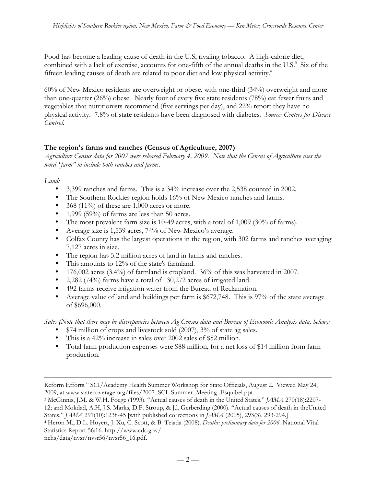Food has become a leading cause of death in the U.S, rivaling tobacco. A high-calorie diet, combined with a lack of exercise, accounts for one-fifth of the annual deaths in the U.S.<sup>3</sup> Six of the fifteen leading causes of death are related to poor diet and low physical activity.<sup>4</sup>

60% of New Mexico residents are overweight or obese, with one-third (34%) overweight and more than one-quarter (26%) obese. Nearly four of every five state residents (78%) eat fewer fruits and vegetables that nutritionists recommend (five servings per day), and 22% report they have no physical activity. 7.8% of state residents have been diagnosed with diabetes. *Source: Centers for Disease Control.*

### **The region's farms and ranches (Census of Agriculture, 2007)**

*Agriculture Census data for 2007 were released February 4, 2009. Note that the Census of Agriculture uses the word "farm" to include both ranches and farms.*

*Land:*

 $\overline{a}$ 

3,399 ranches and farms. This is a 34% increase over the 2,538 counted in 2002. The Southern Rockies region holds 16% of New Mexico ranches and farms. 368 (11%) of these are 1,000 acres or more. 1,999 (59%) of farms are less than 50 acres. The most prevalent farm size is 10-49 acres, with a total of 1,009 (30% of farms). Average size is 1,539 acres, 74% of New Mexico's average. Colfax County has the largest operations in the region, with 302 farms and ranches averaging 7,127 acres in size. The region has 5.2 million acres of land in farms and ranches. This amounts to 12% of the state's farmland. 176,002 acres (3.4%) of farmland is cropland. 36% of this was harvested in 2007. 2,282 (74%) farms have a total of 130,272 acres of irrigated land. 492 farms receive irrigation water from the Bureau of Reclamation. Average value of land and buildings per farm is \$672,748. This is 97% of the state average of \$696,000.

*Sales (Note that there may be discrepancies between Ag Census data and Bureau of Economic Analysis data, below):* \$74 million of crops and livestock sold (2007), 3% of state ag sales.

This is a 42% increase in sales over 2002 sales of \$52 million.

Total farm production expenses were \$88 million, for a net loss of \$14 million from farm production.

Reform Efforts." SCI/Academy Health Summer Workshop for State Officials, August 2. Viewed May 24, 2009, at www.statecoverage.org/files/2007\_SCI\_Summer\_Meeting\_Esquibel.ppt .

<sup>3</sup> McGinnis, J.M. & W.H. Foege (1993). "Actual causes of death in the United States." *JAMA* 270(18):2207- 12; and Mokdad, A.H, J.S. Marks, D.F. Stroup, & J.l. Gerberding (2000). "Actual causes of death in theUnited States." *JAMA* 291(10):1238-45 [with published corrections in *JAMA* (2005), 293(3), 293-294.]

<sup>4</sup> Heron M., D.L. Hoyert, J. Xu, C. Scott, & B. Tejada (2008). *Deaths: preliminary data for 2006.* National Vital Statistics Report 56:16. http://www.cdc.gov/

nchs/data/nvsr/nvsr56/nvsr56\_16.pdf.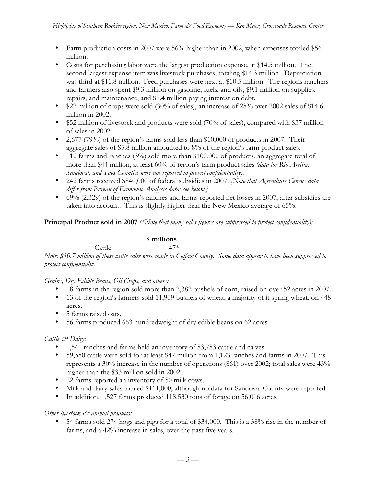Farm production costs in 2007 were 56% higher than in 2002, when expenses totaled \$56 million.

Costs for purchasing labor were the largest production expense, at \$14.5 million. The second largest expense item was livestock purchases, totaling \$14.3 million. Depreciation was third at \$11.8 million. Feed purchases were next at \$10.5 million. The regions ranchers and farmers also spent \$9.3 million on gasoline, fuels, and oils, \$9.1 million on supplies, repairs, and maintenance, and \$7.4 million paying interest on debt.

\$22 million of crops were sold (30% of sales), an increase of 28% over 2002 sales of \$14.6 million in 2002.

\$52 million of livestock and products were sold (70% of sales), compared with \$37 million of sales in 2002.

2,677 (79%) of the region's farms sold less than \$10,000 of products in 2007. Their aggregate sales of \$5.8 million amounted to 8% of the region's farm product sales. 112 farms and ranches (3%) sold more than \$100,000 of products, an aggregate total of more than \$44 million, at least 60% of region's farm product sales *(data for Rio Arriba,*

*Sandoval, and Taos Counties were not reported to protect confidentiality).*

242 farms received \$840,000 of federal subsidies in 2007. *[Note that Agriculture Census data differ from Bureau of Economic Analysis data; see below.]*

69% (2,329) of the region's ranches and farms reported net losses in 2007, after subsidies are taken into account. This is slightly higher than the New Mexico average of 65%.

**Principal Product sold in 2007** *(\*Note that many sales figures are suppressed to protect confidentiality):*

### **\$ millions**

#### $Cartle$  47\*

*Note: \$30.7 million of these cattle sales were made in Colfax County. Some data appear to have been suppressed to protect confidentiality.*

*Grains, Dry Edible Beans, Oil Crops, and others:*

18 farms in the region sold more than 2,382 bushels of corn, raised on over 52 acres in 2007. 13 of the region's farmers sold 11,909 bushels of wheat, a majority of it spring wheat, on 448 acres.

5 farms raised oats.

56 farms produced 663 hundredweight of dry edible beans on 62 acres.

*Cattle & Dairy:*

1,541 ranches and farms held an inventory of 83,783 cattle and calves.

59,580 cattle were sold for at least \$47 million from 1,123 ranches and farms in 2007. This represents a 30% increase in the number of operations (861) over 2002; total sales were 43% higher than the \$33 million sold in 2002.

22 farms reported an inventory of 50 milk cows.

Milk and dairy sales totaled \$111,000, although no data for Sandoval County were reported. In addition, 1,527 farms produced 118,530 tons of forage on 56,016 acres.

*Other livestock*  $\mathcal{O}^*$  animal products:

54 farms sold 274 hogs and pigs for a total of \$34,000. This is a 38% rise in the number of farms, and a 42% increase in sales, over the past five years.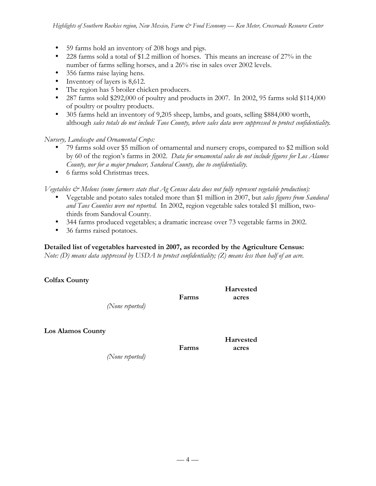59 farms hold an inventory of 208 hogs and pigs. 228 farms sold a total of \$1.2 million of horses. This means an increase of 27% in the number of farms selling horses, and a 26% rise in sales over 2002 levels. 356 farms raise laying hens. Inventory of layers is 8,612. The region has 5 broiler chicken producers. 287 farms sold \$292,000 of poultry and products in 2007. In 2002, 95 farms sold \$114,000 of poultry or poultry products. 305 farms held an inventory of 9,205 sheep, lambs, and goats, selling \$884,000 worth, although *sales totals do not include Taos County, where sales data were suppressed to protect confidentiality*.

*Nursery, Landscape and Ornamental Crops:*

79 farms sold over \$5 million of ornamental and nursery crops, compared to \$2 million sold by 60 of the region's farms in 2002. *Data for ornamental sales do not include figures for Los Alamos County, nor for a major producer, Sandoval County, due to confidentiality.* 6 farms sold Christmas trees.

*Vegetables & Melons (some farmers state that Ag Census data does not fully represent vegetable production):* Vegetable and potato sales totaled more than \$1 million in 2007, but *sales figures from Sandoval and Taos Counties were not reported.* In 2002, region vegetable sales totaled \$1 million, twothirds from Sandoval County.

344 farms produced vegetables; a dramatic increase over 73 vegetable farms in 2002. 36 farms raised potatoes.

## **Detailed list of vegetables harvested in 2007, as recorded by the Agriculture Census:**

*Note: (D) means data suppressed by USDA to protect confidentiality; (Z) means less than half of an acre.*

**Colfax County**

|                          |       | Harvested |
|--------------------------|-------|-----------|
|                          | Farms | acres     |
| (None reported)          |       |           |
| <b>Los Alamos County</b> |       |           |
|                          |       | Harvested |
|                          | Farms | acres     |

*(None reported)*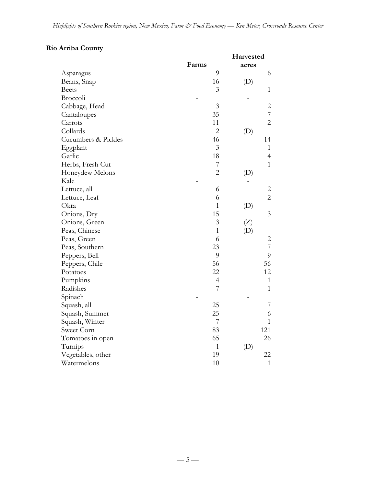# **Rio Arriba County**

|                     |                | Harvested |                |
|---------------------|----------------|-----------|----------------|
|                     | Farms          | acres     |                |
| Asparagus           | 9              |           | 6              |
| Beans, Snap         | 16             | (D)       |                |
| <b>Beets</b>        | 3              |           | $\mathbf{1}$   |
| Broccoli            |                |           |                |
| Cabbage, Head       | $\mathfrak{Z}$ |           | $\overline{c}$ |
| Cantaloupes         | 35             |           | $\overline{7}$ |
| Carrots             | 11             |           | $\overline{2}$ |
| Collards            | $\overline{2}$ | (D)       |                |
| Cucumbers & Pickles | 46             |           | 14             |
| Eggplant            | 3              |           | $\mathbf{1}$   |
| Garlic              | 18             |           | $\overline{4}$ |
| Herbs, Fresh Cut    | 7              |           | $\mathbf{1}$   |
| Honeydew Melons     | $\overline{2}$ | (D)       |                |
| Kale                |                |           |                |
| Lettuce, all        | 6              |           | 2              |
| Lettuce, Leaf       | 6              |           | $\overline{2}$ |
| Okra                | $\mathbf{1}$   | (D)       |                |
| Onions, Dry         | 15             |           | 3              |
| Onions, Green       | $\overline{3}$ | (Z)       |                |
| Peas, Chinese       | $\mathbf{1}$   | (D)       |                |
| Peas, Green         | 6              |           | $\overline{c}$ |
| Peas, Southern      | 23             |           | $\overline{7}$ |
| Peppers, Bell       | 9              |           | 9              |
| Peppers, Chile      | 56             |           | 56             |
| Potatoes            | 22             |           | 12             |
| Pumpkins            | $\overline{4}$ |           | $\mathbf{1}$   |
| Radishes            | $\overline{7}$ |           | $\mathbf{1}$   |
| Spinach             |                |           |                |
| Squash, all         | 25             |           | 7              |
| Squash, Summer      | 25             |           | 6              |
| Squash, Winter      | 7              |           | $\mathbf{1}$   |
| Sweet Corn          | 83             |           | 121            |
| Tomatoes in open    | 65             |           | 26             |
| Turnips             | $\mathbf{1}$   | (D)       |                |
| Vegetables, other   | 19             |           | 22             |
| Watermelons         | 10             |           | $\mathbf{1}$   |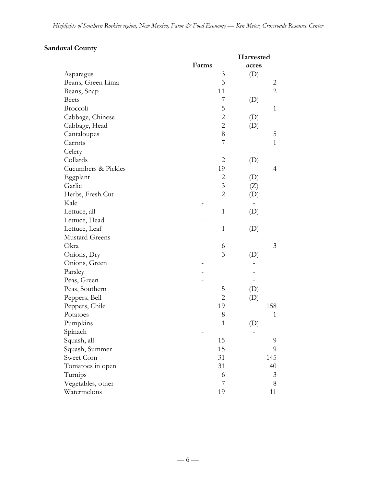# **Sandoval County**

|                       |                | Harvested                  |
|-----------------------|----------------|----------------------------|
|                       | Farms          | acres                      |
| Asparagus             | 3              | (D)                        |
| Beans, Green Lima     | 3              | 2                          |
| Beans, Snap           | 11             | $\overline{2}$             |
| <b>Beets</b>          | 7              | (D)                        |
| Broccoli              | 5              | 1                          |
| Cabbage, Chinese      | $\overline{c}$ | (D)                        |
| Cabbage, Head         | $\overline{c}$ | (D)                        |
| Cantaloupes           | 8              | 5                          |
| Carrots               | 7              | $\mathbf{1}$               |
| Celery                |                |                            |
| Collards              | $\overline{2}$ | (D)                        |
| Cucumbers & Pickles   | 19             | 4                          |
| Eggplant              | $\overline{c}$ | (D)                        |
| Garlic                | $\overline{3}$ | (Z)                        |
| Herbs, Fresh Cut      | $\overline{2}$ | (D)                        |
| Kale                  |                |                            |
| Lettuce, all          | $\mathbf{1}$   | (D)                        |
| Lettuce, Head         |                |                            |
| Lettuce, Leaf         | $\mathbf{1}$   | $\left( \mathrm{D}\right)$ |
| <b>Mustard Greens</b> |                |                            |
| Okra                  | 6              | 3                          |
| Onions, Dry           | 3              | (D)                        |
| Onions, Green         |                |                            |
| Parsley               |                |                            |
| Peas, Green           |                |                            |
| Peas, Southern        | 5              | (D)                        |
| Peppers, Bell         | $\overline{2}$ | (D)                        |
| Peppers, Chile        | 19             | 158                        |
| Potatoes              | 8              | $\mathbf{1}$               |
| Pumpkins              | $\mathbf{1}$   | (D)                        |
| Spinach               |                |                            |
| Squash, all           | 15             | 9                          |
| Squash, Summer        | 15             | 9                          |
| Sweet Corn            | 31             | 145                        |
| Tomatoes in open      | 31             | 40                         |
| Turnips               | 6              | 3                          |
| Vegetables, other     | 7              | 8                          |
| Watermelons           | 19             | 11                         |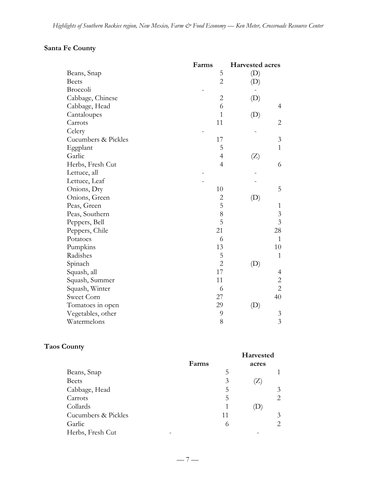# **Santa Fe County**

|                     | Farms          | <b>Harvested acres</b> |
|---------------------|----------------|------------------------|
| Beans, Snap         | 5              | (D)                    |
| <b>Beets</b>        | $\overline{2}$ | (D)                    |
| Broccoli            |                |                        |
| Cabbage, Chinese    | $\overline{c}$ | (D)                    |
| Cabbage, Head       | 6              | 4                      |
| Cantaloupes         | $\mathbf{1}$   | (D)                    |
| Carrots             | 11             | $\overline{c}$         |
| Celery              |                |                        |
| Cucumbers & Pickles | 17             | 3                      |
| Eggplant            | 5              | $\mathbf{1}$           |
| Garlic              | $\overline{4}$ | (Z)                    |
| Herbs, Fresh Cut    | $\overline{4}$ | 6                      |
| Lettuce, all        |                |                        |
| Lettuce, Leaf       |                |                        |
| Onions, Dry         | 10             | 5                      |
| Onions, Green       | $\overline{c}$ | (D)                    |
| Peas, Green         | 5              | $\mathbf{1}$           |
| Peas, Southern      | 8              | $\mathfrak{Z}$         |
| Peppers, Bell       | 5              | $\overline{3}$         |
| Peppers, Chile      | 21             | 28                     |
| Potatoes            | 6              | $\mathbf{1}$           |
| Pumpkins            | 13             | 10                     |
| Radishes            | 5              | $\mathbf{1}$           |
| Spinach             | $\overline{2}$ | (D)                    |
| Squash, all         | 17             | 4                      |
| Squash, Summer      | 11             | $\overline{c}$         |
| Squash, Winter      | 6              | $\overline{2}$         |
| Sweet Corn          | 27             | 40                     |
| Tomatoes in open    | 29             | (D)                    |
| Vegetables, other   | 9              | 3                      |
| Watermelons         | 8              | $\overline{3}$         |

# **Taos County**

|                     | Farms |    | Harvested<br>acres          |               |
|---------------------|-------|----|-----------------------------|---------------|
| Beans, Snap         |       | 5  |                             |               |
| <b>Beets</b>        |       | 3  | $\mathcal{L}_{\mathcal{L}}$ |               |
| Cabbage, Head       |       | 5  |                             | 3             |
| Carrots             |       | 5  |                             | 2             |
| Collards            |       |    |                             |               |
| Cucumbers & Pickles |       | 11 |                             | 3             |
| Garlic              |       | 6  |                             | $\mathcal{L}$ |
| Herbs, Fresh Cut    |       |    |                             |               |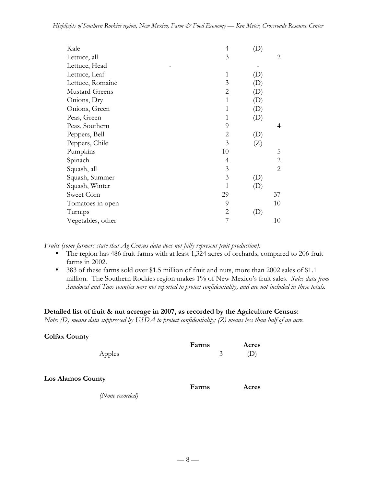| 4  | $\left( \mathrm{D}\right)$ |                   |
|----|----------------------------|-------------------|
| 3  |                            | 2                 |
|    |                            |                   |
| 1  | $\left( \mathrm{D}\right)$ |                   |
| 3  | $\left( \mathrm{D}\right)$ |                   |
| 2  | $\left( \mathrm{D}\right)$ |                   |
| 1  | $\left( \mathrm{D}\right)$ |                   |
| 1  |                            |                   |
| 1  |                            |                   |
| 9  |                            | 4                 |
| 2  | $\left( \mathrm{D}\right)$ |                   |
| 3  | (Z)                        |                   |
| 10 |                            | 5                 |
| 4  |                            | 2                 |
| 3  |                            | $\overline{2}$    |
| 3  | (D)                        |                   |
| 1  | (D)                        |                   |
| 29 |                            | 37                |
| 9  |                            | 10                |
| 2  |                            |                   |
|    |                            | 10                |
|    |                            | (D)<br>(D)<br>(D) |

*Fruits (some farmers state that Ag Census data does not fully represent fruit production):*

The region has 486 fruit farms with at least 1,324 acres of orchards, compared to 206 fruit farms in 2002.

383 of these farms sold over \$1.5 million of fruit and nuts, more than 2002 sales of \$1.1 million. The Southern Rockies region makes 1% of New Mexico's fruit sales. *Sales data from Sandoval and Taos counties were not reported to protect confidentiality, and are not included in these totals.*

### **Detailed list of fruit & nut acreage in 2007, as recorded by the Agriculture Census:**

*Note: (D) means data suppressed by USDA to protect confidentiality; (Z) means less than half of an acre.*

| <b>Colfax County</b>                        | Farms | Acres |
|---------------------------------------------|-------|-------|
| Apples                                      | 3     | (D)   |
| <b>Los Alamos County</b><br>(None recorded) | Farms | Acres |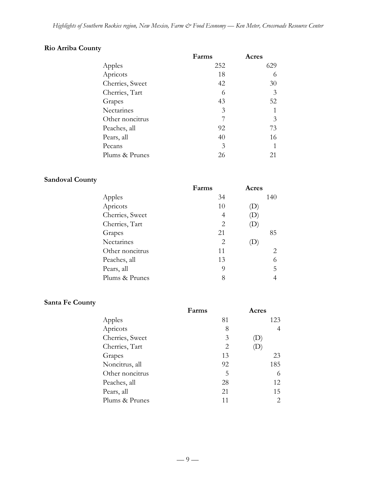# **Rio Arriba County**

| Farms | Acres |
|-------|-------|
| 252   | 629   |
| 18    | 6     |
| 42    | 30    |
| 6     | 3     |
| 43    | 52    |
| 3     |       |
|       | 3     |
| 92    | 73    |
| 40    | 16    |
| 3     | 1     |
| 26    | 21    |
|       |       |

# **Sandoval County**

|                 | Farms | Acres                      |
|-----------------|-------|----------------------------|
| Apples          | 34    | 140                        |
| Apricots        | 10    | $\left( \mathrm{D}\right)$ |
| Cherries, Sweet | 4     | $\left( \mathrm{D}\right)$ |
| Cherries, Tart  | 2     | $\left( \mathrm{D}\right)$ |
| Grapes          | 21    | 85                         |
| Nectarines      | 2     |                            |
| Other noncitrus | 11    | 2                          |
| Peaches, all    | 13    | 6                          |
| Pears, all      | 9     | 5.                         |
| Plums & Prunes  | 8     | 4                          |

# **Santa Fe County**

|                 | Farms | Acres                      |
|-----------------|-------|----------------------------|
| Apples          | 81    | 123                        |
| Apricots        | 8     | 4                          |
| Cherries, Sweet | 3     | $\left( \mathrm{L}\right)$ |
| Cherries, Tart  | 2     | $\left( \mathrm{L}\right)$ |
| Grapes          | 13    | 23                         |
| Noncitrus, all  | 92    | 185                        |
| Other noncitrus | 5     | 6                          |
| Peaches, all    | 28    | 12                         |
| Pears, all      | 21    | 15                         |
| Plums & Prunes  | 11    | 2                          |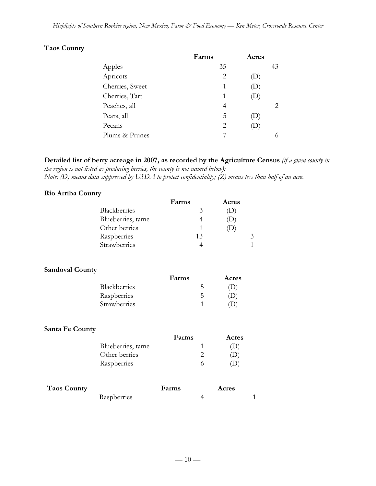# **Taos County**

|                 | Farms | Acres                      |                             |
|-----------------|-------|----------------------------|-----------------------------|
| Apples          | 35    |                            | 43                          |
| Apricots        | 2     |                            |                             |
| Cherries, Sweet | 1     | $\left( \mathrm{L}\right)$ |                             |
| Cherries, Tart  | 1     | $\mathbf{D}$               |                             |
| Peaches, all    | 4     |                            | $\mathcal{D}_{\mathcal{L}}$ |
| Pears, all      | 5     |                            |                             |
| Pecans          | 2     | $\mathbf D$                |                             |
| Plums & Prunes  |       |                            |                             |

**Detailed list of berry acreage in 2007, as recorded by the Agriculture Census** *(if a given county in the region is not listed as producing berries, the county is not named below):*

*Note: (D) means data suppressed by USDA to protect confidentiality; (Z) means less than half of an acre.*

### **Rio Arriba County**

| Farms | Acres |
|-------|-------|
| 3     |       |
|       |       |
|       |       |
| 13    | 3     |
|       |       |
|       |       |

#### **Sandoval County**

|              | Farms | Acres |
|--------------|-------|-------|
| Blackberries |       | (D)   |
| Raspberries  |       | (1)   |
| Strawberries |       |       |

#### **Santa Fe County**

|                   | Farms | Acres        |
|-------------------|-------|--------------|
| Blueberries, tame |       | . I J '      |
| Other berries     |       | $\mathbf{D}$ |
| Raspberries       |       |              |

| <b>Taos County</b> |             | Farms | Acres |  |
|--------------------|-------------|-------|-------|--|
|                    | Raspberries |       |       |  |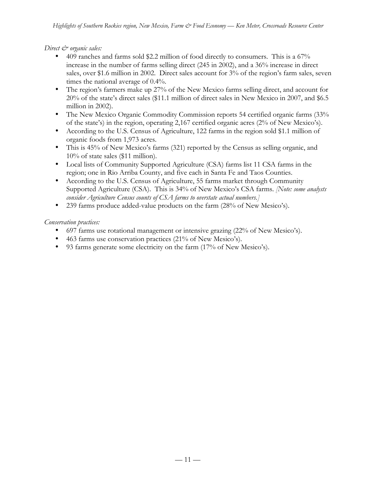*Direct*  $\mathcal{Q}$  organic sales:

409 ranches and farms sold \$2.2 million of food directly to consumers. This is a 67% increase in the number of farms selling direct (245 in 2002), and a 36% increase in direct sales, over \$1.6 million in 2002. Direct sales account for 3% of the region's farm sales, seven times the national average of 0.4%.

The region's farmers make up 27% of the New Mexico farms selling direct, and account for 20% of the state's direct sales (\$11.1 million of direct sales in New Mexico in 2007, and \$6.5 million in 2002).

The New Mexico Organic Commodity Commission reports 54 certified organic farms (33% of the state's) in the region, operating 2,167 certified organic acres (2% of New Mexico's). According to the U.S. Census of Agriculture, 122 farms in the region sold \$1.1 million of organic foods from 1,973 acres.

This is 45% of New Mexico's farms (321) reported by the Census as selling organic, and 10% of state sales (\$11 million).

Local lists of Community Supported Agriculture (CSA) farms list 11 CSA farms in the region; one in Rio Arriba County, and five each in Santa Fe and Taos Counties. According to the U.S. Census of Agriculture, 55 farms market through Community

Supported Agriculture (CSA). This is 34% of New Mexico's CSA farms. *[Note: some analysts consider Agriculture Census counts of CSA farms to overstate actual numbers.]*

239 farms produce added-value products on the farm (28% of New Mesico's).

*Conservation practices:*

697 farms use rotational management or intensive grazing (22% of New Mesico's).

463 farms use conservation practices (21% of New Mesico's).

93 farms generate some electricity on the farm (17% of New Mesico's).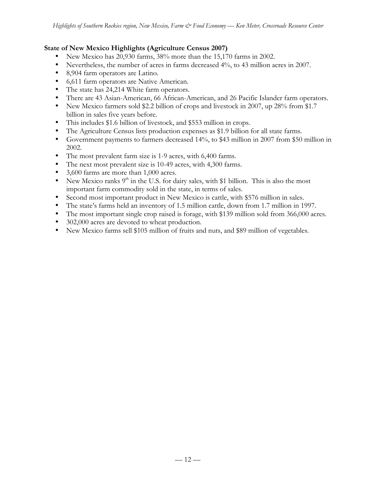### **State of New Mexico Highlights (Agriculture Census 2007)**

New Mexico has 20,930 farms, 38% more than the 15,170 farms in 2002.

Nevertheless, the number of acres in farms decreased 4%, to 43 million acres in 2007.

8,904 farm operators are Latino.

6,611 farm operators are Native American.

The state has 24,214 White farm operators.

There are 43 Asian-American, 66 African-American, and 26 Pacific Islander farm operators. New Mexico farmers sold \$2.2 billion of crops and livestock in 2007, up 28% from \$1.7 billion in sales five years before.

This includes \$1.6 billion of livestock, and \$553 million in crops.

The Agriculture Census lists production expenses as \$1.9 billion for all state farms.

Government payments to farmers decreased 14%, to \$43 million in 2007 from \$50 million in 2002.

The most prevalent farm size is 1-9 acres, with 6,400 farms.

The next most prevalent size is 10-49 acres, with 4,300 farms.

3,600 farms are more than 1,000 acres.

New Mexico ranks  $9<sup>th</sup>$  in the U.S. for dairy sales, with \$1 billion. This is also the most important farm commodity sold in the state, in terms of sales.

Second most important product in New Mexico is cattle, with \$576 million in sales.

The state's farms held an inventory of 1.5 million cattle, down from 1.7 million in 1997.

The most important single crop raised is forage, with \$139 million sold from 366,000 acres. 302,000 acres are devoted to wheat production.

New Mexico farms sell \$105 million of fruits and nuts, and \$89 million of vegetables.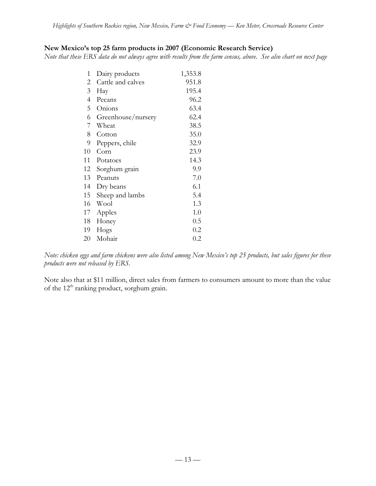## **New Mexico's top 25 farm products in 2007 (Economic Research Service)**

*Note that these ERS data do not always agree with results from the farm census, above. See also chart on next page*

| 1  | Dairy products     | 1,353.8 |
|----|--------------------|---------|
| 2  | Cattle and calves  | 951.8   |
| 3  | Hay                | 195.4   |
| 4  | Pecans             | 96.2    |
| 5  | Onions             | 63.4    |
| 6  | Greenhouse/nursery | 62.4    |
| 7  | Wheat              | 38.5    |
| 8  | Cotton             | 35.0    |
| 9  | Peppers, chile     | 32.9    |
| 10 | Corn               | 23.9    |
| 11 | Potatoes           | 14.3    |
| 12 | Sorghum grain      | 9.9     |
| 13 | Peanuts            | 7.0     |
| 14 | Dry beans          | 6.1     |
| 15 | Sheep and lambs    | 5.4     |
| 16 | Wool               | 1.3     |
| 17 | Apples             | 1.0     |
| 18 | Honey              | 0.5     |
| 19 | Hogs               | 0.2     |
| 20 | Mohair             | $0.2\,$ |

*Note: chicken eggs and farm chickens were also listed among New Mexico's top 25 products, but sales figures for these products were not released by ERS.*

Note also that at \$11 million, direct sales from farmers to consumers amount to more than the value of the 12<sup>th</sup> ranking product, sorghum grain.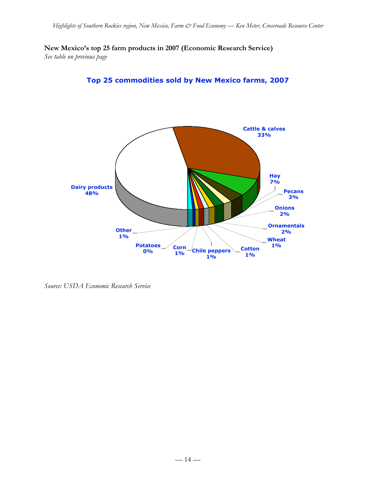**New Mexico's top 25 farm products in 2007 (Economic Research Service)**

*See table on previous page*





*Source: USDA Economic Research Service*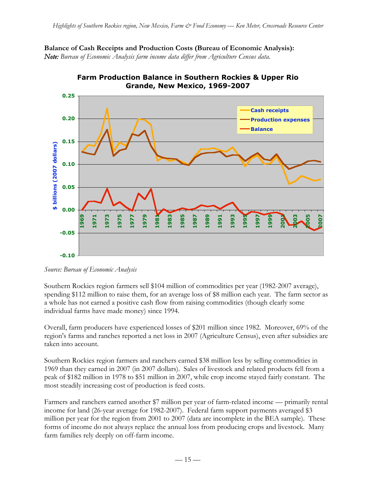**Balance of Cash Receipts and Production Costs (Bureau of Economic Analysis):** *Note: Bureau of Economic Analysis farm income data differ from Agriculture Census data.*



**Farm Production Balance in Southern Rockies & Upper Rio** 

Southern Rockies region farmers sell \$104 million of commodities per year (1982-2007 average), spending \$112 million to raise them, for an average loss of \$8 million each year. The farm sector as a whole has not earned a positive cash flow from raising commodities (though clearly some individual farms have made money) since 1994.

Overall, farm producers have experienced losses of \$201 million since 1982. Moreover, 69% of the region's farms and ranches reported a net loss in 2007 (Agriculture Census), even after subsidies are taken into account.

Southern Rockies region farmers and ranchers earned \$38 million less by selling commodities in 1969 than they earned in 2007 (in 2007 dollars). Sales of livestock and related products fell from a peak of \$182 million in 1978 to \$51 million in 2007, while crop income stayed fairly constant. The most steadily increasing cost of production is feed costs.

Farmers and ranchers earned another \$7 million per year of farm-related income — primarily rental income for land (26-year average for 1982-2007). Federal farm support payments averaged \$3 million per year for the region from 2001 to 2007 (data are incomplete in the BEA sample). These forms of income do not always replace the annual loss from producing crops and livestock. Many farm families rely deeply on off-farm income.

*Source: Bureau of Economic Analysis*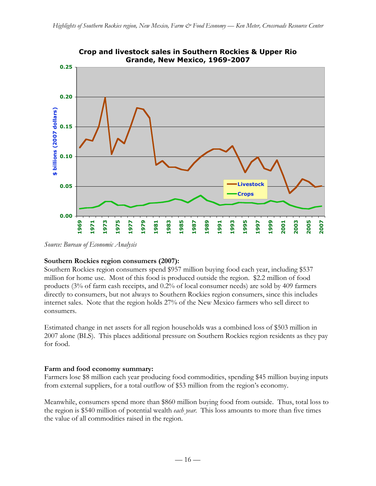

*Source: Bureau of Economic Analysis*

## **Southern Rockies region consumers (2007):**

Southern Rockies region consumers spend \$957 million buying food each year, including \$537 million for home use. Most of this food is produced outside the region. \$2.2 million of food products (3% of farm cash receipts, and 0.2% of local consumer needs) are sold by 409 farmers directly to consumers, but not always to Southern Rockies region consumers, since this includes internet sales. Note that the region holds 27% of the New Mexico farmers who sell direct to consumers.

Estimated change in net assets for all region households was a combined loss of \$503 million in 2007 alone (BLS). This places additional pressure on Southern Rockies region residents as they pay for food.

## **Farm and food economy summary:**

Farmers lose \$8 million each year producing food commodities, spending \$45 million buying inputs from external suppliers, for a total outflow of \$53 million from the region's economy.

Meanwhile, consumers spend more than \$860 million buying food from outside. Thus, total loss to the region is \$540 million of potential wealth *each year*. This loss amounts to more than five times the value of all commodities raised in the region.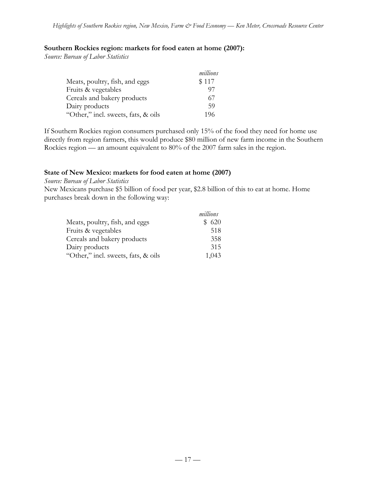### **Southern Rockies region: markets for food eaten at home (2007):**

*Source: Bureau of Labor Statistics*

|                                     | millions |
|-------------------------------------|----------|
| Meats, poultry, fish, and eggs      | \$117    |
| Fruits & vegetables                 | 97       |
| Cereals and bakery products         | 67       |
| Dairy products                      | 59       |
| "Other," incl. sweets, fats, & oils | 196      |

If Southern Rockies region consumers purchased only 15% of the food they need for home use directly from region farmers, this would produce \$80 million of new farm income in the Southern Rockies region — an amount equivalent to 80% of the 2007 farm sales in the region.

### **State of New Mexico: markets for food eaten at home (2007)**

*Source: Bureau of Labor Statistics*

New Mexicans purchase \$5 billion of food per year, \$2.8 billion of this to eat at home. Home purchases break down in the following way:

|                                     | millions |
|-------------------------------------|----------|
| Meats, poultry, fish, and eggs      | \$620    |
| Fruits & vegetables                 | 518      |
| Cereals and bakery products         | 358      |
| Dairy products                      | 315      |
| "Other," incl. sweets, fats, & oils | 1,043    |